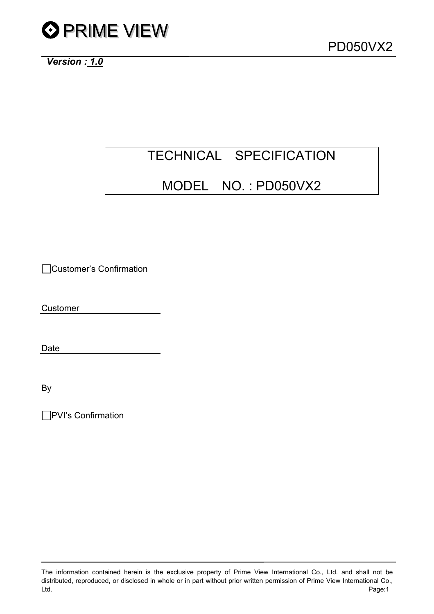

*Version : 1.0*

# TECHNICAL SPECIFICATION

### MODEL NO. : PD050VX2

Customer's Confirmation

Customer

Date

By

□PVI's Confirmation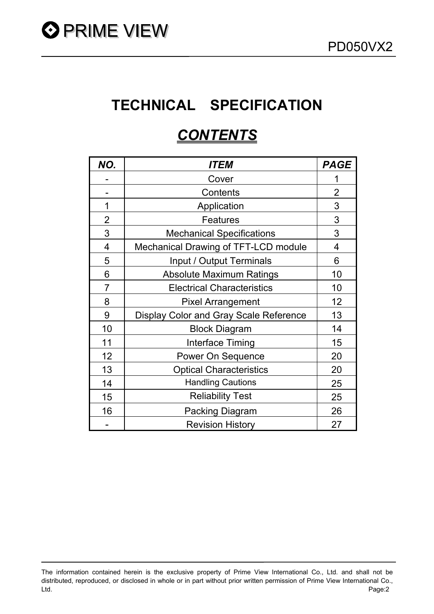# **TECHNICAL SPECIFICATION**

## *CONTENTS*

| NO.            | <i><b>ITEM</b></i>                     | <b>PAGE</b>    |
|----------------|----------------------------------------|----------------|
|                | Cover                                  | 1              |
|                | Contents                               | $\overline{2}$ |
| 1              | Application                            | 3              |
| $\overline{2}$ | <b>Features</b>                        | 3              |
| 3              | <b>Mechanical Specifications</b>       | 3              |
| 4              | Mechanical Drawing of TFT-LCD module   | $\overline{4}$ |
| 5              | Input / Output Terminals               | 6              |
| 6              | <b>Absolute Maximum Ratings</b>        | 10             |
| $\overline{7}$ | <b>Electrical Characteristics</b>      | 10             |
| 8              | <b>Pixel Arrangement</b>               | 12             |
| 9              | Display Color and Gray Scale Reference | 13             |
| 10             | <b>Block Diagram</b>                   | 14             |
| 11             | Interface Timing                       | 15             |
| 12             | <b>Power On Sequence</b>               | 20             |
| 13             | <b>Optical Characteristics</b>         | 20             |
| 14             | <b>Handling Cautions</b>               | 25             |
| 15             | <b>Reliability Test</b>                | 25             |
| 16             | Packing Diagram                        | 26             |
|                | <b>Revision History</b>                | 27             |

The information contained herein is the exclusive property of Prime View International Co., Ltd. and shall not be distributed, reproduced, or disclosed in whole or in part without prior written permission of Prime View International Co., Ltd. Page:2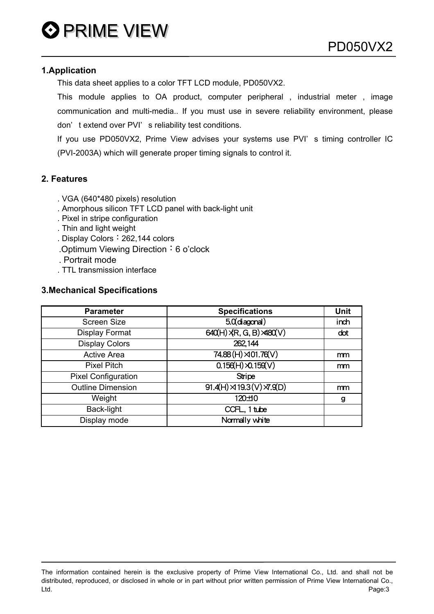#### **1.Application**

This data sheet applies to a color TFT LCD module, PD050VX2.

This module applies to OA product, computer peripheral, industrial meter, image communication and multi-media.. If you must use in severe reliability environment, please don't extend over PVI's reliability test conditions.

If you use PD050VX2, Prime View advises your systems use PVI' s timing controller IC (PVI-2003A) which will generate proper timing signals to control it.

#### **2. Features**

- . VGA (640\*480 pixels) resolution
- . Amorphous silicon TFT LCD panel with back-light unit
- . Pixel in stripe configuration
- . Thin and light weight
- . Display Colors: 262,144 colors
- .Optimum Viewing Direction: 6 o'clock
- . Portrait mode
- . TTL transmission interface

#### **3.Mechanical Specifications**

| <b>Parameter</b>           | <b>Specifications</b>                               | <b>Unit</b> |
|----------------------------|-----------------------------------------------------|-------------|
| <b>Screen Size</b>         | $50$ (diagonal)                                     | inch        |
| Display Format             | $640(H)$ $\overline{R}$ , G, B) $\overline{A}80(V)$ | dot         |
| <b>Display Colors</b>      | 262,144                                             |             |
| <b>Active Area</b>         | 74.88 (H) $\times$ 01.76 (V)                        | mm          |
| <b>Pixel Pitch</b>         | $0.156(H)$ $\times$ $0.159(V)$                      | mm          |
| <b>Pixel Configuration</b> | Stripe                                              |             |
| <b>Outline Dimension</b>   | $\overline{91.4(H)} \rtimes 19.3(V) \times 9(D)$    | mm          |
| Weight                     | 120±10                                              | g           |
| Back-light                 | CCFL, 1 tube                                        |             |
| Display mode               | Normally white                                      |             |

The information contained herein is the exclusive property of Prime View International Co., Ltd. and shall not be distributed, reproduced, or disclosed in whole or in part without prior written permission of Prime View International Co., Ltd. Page:3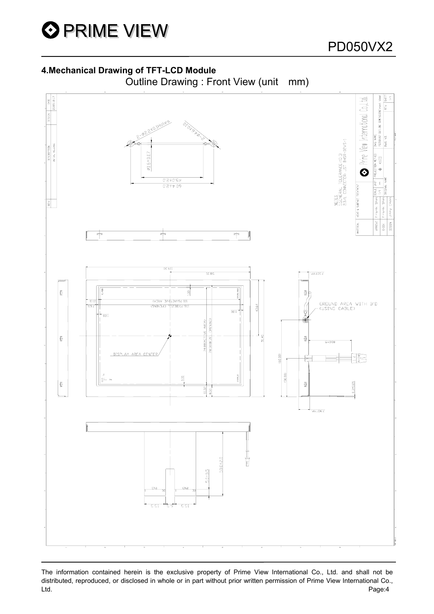

#### **4.Mechanical Drawing of TFT-LCD Module**





The information contained herein is the exclusive property of Prime View International Co., Ltd. and shall not be distributed, reproduced, or disclosed in whole or in part without prior written permission of Prime View International Co., Ltd. Page:4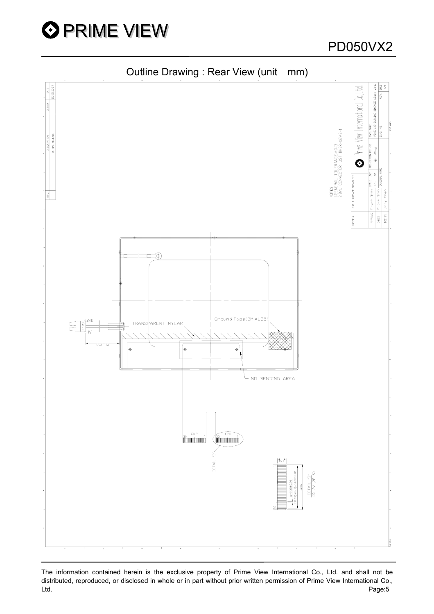

DVG. NAME<br>PDOSOVX2 OUTLINE DIMENSION(Back View) Prime View International Co.,Ltd. <u>NOTES</u><br>!GENERAL TOLERANCE.±0.3<br>2.B/L CONNECTOR: JST BHSR-02VS-1 ROJECTION METHOD  $\sqrt{2}$  $\ddot{\mathbf{O}}$ HEAT & SURFACE TREATMENT  $\overline{\mathbf{z}}$ Shin Chen Frank Shin Frank : Jimmy CHECK<br>DE SIGN APPROVE **TERIAL**  $\ket{\pm\pm\pm\oplus}$ Ground Tape(3MAL35 GND TRANSPARENT MYLAR  $50.05$ NO BENDING AREA  $\overline{\mathsf{N}}$ DETAIL  $\frac{\text{DETAIL} \cdot \text{B'}}{\text{C} \cdot \text{B} / \text{LPL}} \text{S}$  $I = 0.35 \pm 0.03$ 

Outline Drawing : Rear View (unit mm)

The information contained herein is the exclusive property of Prime View International Co., Ltd. and shall not be distributed, reproduced, or disclosed in whole or in part without prior written permission of Prime View International Co., Ltd. Page:5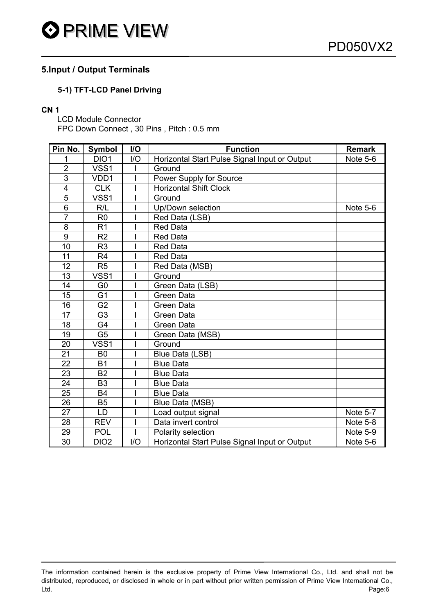

#### **5.Input / Output Terminals**

#### **5-1) TFT-LCD Panel Driving**

#### **CN 1**

LCD Module Connector FPC Down Connect , 30 Pins , Pitch : 0.5 mm

| Pin No.         | <b>Symbol</b>    | I/O | <b>Function</b>                               | <b>Remark</b>   |
|-----------------|------------------|-----|-----------------------------------------------|-----------------|
|                 | DIO1             | I/O | Horizontal Start Pulse Signal Input or Output | Note 5-6        |
| $\overline{2}$  | VSS1             |     | Ground                                        |                 |
| 3               | VDD1             |     | Power Supply for Source                       |                 |
| 4               | <b>CLK</b>       |     | <b>Horizontal Shift Clock</b>                 |                 |
| $\overline{5}$  | VSS1             |     | Ground                                        |                 |
| 6               | R/L              |     | Up/Down selection                             | Note 5-6        |
| $\overline{7}$  | R <sub>0</sub>   |     | Red Data (LSB)                                |                 |
| 8               | R <sub>1</sub>   |     | <b>Red Data</b>                               |                 |
| 9               | R <sub>2</sub>   |     | <b>Red Data</b>                               |                 |
| 10              | R <sub>3</sub>   |     | <b>Red Data</b>                               |                 |
| 11              | R <sub>4</sub>   |     | <b>Red Data</b>                               |                 |
| 12              | R <sub>5</sub>   |     | Red Data (MSB)                                |                 |
| 13              | VSS1             |     | Ground                                        |                 |
| 14              | G <sub>0</sub>   |     | Green Data (LSB)                              |                 |
| 15              | G <sub>1</sub>   |     | <b>Green Data</b>                             |                 |
| 16              | G <sub>2</sub>   |     | Green Data                                    |                 |
| 17              | G <sub>3</sub>   |     | <b>Green Data</b>                             |                 |
| 18              | G4               |     | Green Data                                    |                 |
| 19              | G <sub>5</sub>   |     | Green Data (MSB)                              |                 |
| 20              | VSS1             |     | Ground                                        |                 |
| $\overline{21}$ | B <sub>0</sub>   |     | Blue Data (LSB)                               |                 |
| 22              | <b>B1</b>        |     | <b>Blue Data</b>                              |                 |
| 23              | <b>B2</b>        |     | <b>Blue Data</b>                              |                 |
| 24              | B <sub>3</sub>   |     | <b>Blue Data</b>                              |                 |
| 25              | <b>B4</b>        |     | <b>Blue Data</b>                              |                 |
| 26              | <b>B5</b>        |     | Blue Data (MSB)                               |                 |
| 27              | LD               |     | Load output signal                            | Note 5-7        |
| 28              | <b>REV</b>       |     | Data invert control                           | Note 5-8        |
| 29              | <b>POL</b>       |     | Polarity selection                            | <b>Note 5-9</b> |
| 30              | DIO <sub>2</sub> | I/O | Horizontal Start Pulse Signal Input or Output | Note 5-6        |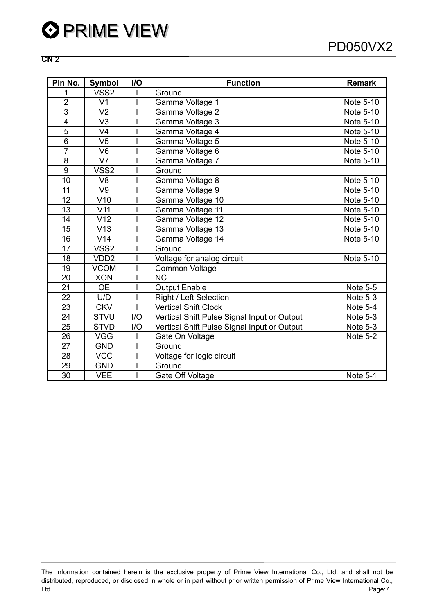#### **CN 2**

| Pin No.        | <b>Symbol</b>    | I/O | <b>Function</b>                             | <b>Remark</b>         |
|----------------|------------------|-----|---------------------------------------------|-----------------------|
| 1              | VSS <sub>2</sub> |     | Ground                                      |                       |
| $\overline{2}$ | V <sub>1</sub>   |     | Gamma Voltage 1                             | Note 5-10             |
| $\overline{3}$ | V <sub>2</sub>   |     | Gamma Voltage 2                             | Note 5-10             |
| $\overline{4}$ | V <sub>3</sub>   |     | Gamma Voltage 3                             | Note 5-10             |
| $\overline{5}$ | V <sub>4</sub>   |     | Gamma Voltage 4                             | Note 5-10             |
| $\overline{6}$ | $V\overline{5}$  |     | Gamma Voltage 5                             | Note 5-10             |
| $\overline{7}$ | V <sub>6</sub>   |     | Gamma Voltage 6                             | Note 5-10             |
| $\overline{8}$ | V <sub>7</sub>   |     | Gamma Voltage 7                             | Note 5-10             |
| $\overline{9}$ | VSS <sub>2</sub> |     | Ground                                      |                       |
| 10             | V <sub>8</sub>   |     | Gamma Voltage 8                             | Note 5-10             |
| 11             | V9               |     | Gamma Voltage 9                             | Note 5-10             |
| 12             | V10              |     | Gamma Voltage 10                            | Note 5-10             |
| 13             | V <sub>11</sub>  |     | Gamma Voltage 11                            | Note 5-10             |
| 14             | V <sub>12</sub>  |     | Gamma Voltage 12                            | Note 5-10             |
| 15             | V13              |     | Gamma Voltage 13                            | Note 5-10             |
| 16             | V14              |     | Gamma Voltage 14                            | Note 5-10             |
| 17             | VSS <sub>2</sub> |     | Ground                                      |                       |
| 18             | VDD <sub>2</sub> |     | Voltage for analog circuit                  | Note 5-10             |
| 19             | <b>VCOM</b>      |     | Common Voltage                              |                       |
| 20             | <b>XON</b>       |     | $\overline{\text{NC}}$                      |                       |
| 21             | <b>OE</b>        |     | <b>Output Enable</b>                        | <b>Note 5-5</b>       |
| 22             | U/D              |     | Right / Left Selection                      | Note 5-3              |
| 23             | <b>CKV</b>       |     | <b>Vertical Shift Clock</b>                 | Note $5-\overline{4}$ |
| 24             | <b>STVU</b>      | I/O | Vertical Shift Pulse Signal Input or Output | Note 5-3              |
| 25             | <b>STVD</b>      | I/O | Vertical Shift Pulse Signal Input or Output | Note 5-3              |
| 26             | <b>VGG</b>       |     | Gate On Voltage                             | Note 5-2              |
| 27             | <b>GND</b>       |     | Ground                                      |                       |
| 28             | <b>VCC</b>       |     | Voltage for logic circuit                   |                       |
| 29             | <b>GND</b>       |     | Ground                                      |                       |
| 30             | <b>VEE</b>       |     | Gate Off Voltage                            | Note 5-1              |

The information contained herein is the exclusive property of Prime View International Co., Ltd. and shall not be distributed, reproduced, or disclosed in whole or in part without prior written permission of Prime View International Co., Ltd. Page:7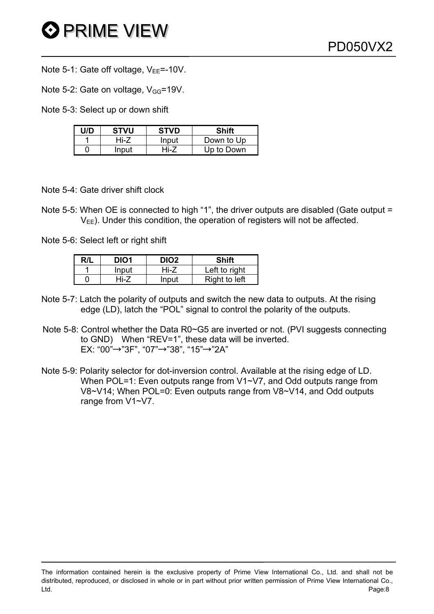- Note 5-1: Gate off voltage,  $V_{EE} = -10V$ .
- Note 5-2: Gate on voltage,  $V_{GG}$ =19V.
- Note 5-3: Select up or down shift

| U/D | <b>STVU</b> | <b>STVD</b> | Shift      |
|-----|-------------|-------------|------------|
|     | Hi-7        | Input       | Down to Up |
|     | Input       | Hi-7        | Up to Down |

- Note 5-4: Gate driver shift clock
- Note 5-5: When OE is connected to high "1", the driver outputs are disabled (Gate output =  $V_{FF}$ ). Under this condition, the operation of registers will not be affected.
- Note 5-6: Select left or right shift

| R/L | DIO <sub>1</sub> | DIO <sub>2</sub> | Shift         |
|-----|------------------|------------------|---------------|
|     | Input            | Hi-Z             | Left to right |
|     | Hi-7             | nput             | Right to left |

- Note 5-7: Latch the polarity of outputs and switch the new data to outputs. At the rising edge (LD), latch the "POL" signal to control the polarity of the outputs.
- Note 5-8: Control whether the Data R0~G5 are inverted or not. (PVI suggests connecting to GND) When "REV=1", these data will be inverted. EX: "00"→"3F", "07"→"38", "15"→"2A"
- Note 5-9: Polarity selector for dot-inversion control. Available at the rising edge of LD. When POL=1: Even outputs range from V1~V7, and Odd outputs range from V8~V14; When POL=0: Even outputs range from V8~V14, and Odd outputs range from V1~V7.

The information contained herein is the exclusive property of Prime View International Co., Ltd. and shall not be distributed, reproduced, or disclosed in whole or in part without prior written permission of Prime View International Co., Ltd. Page:8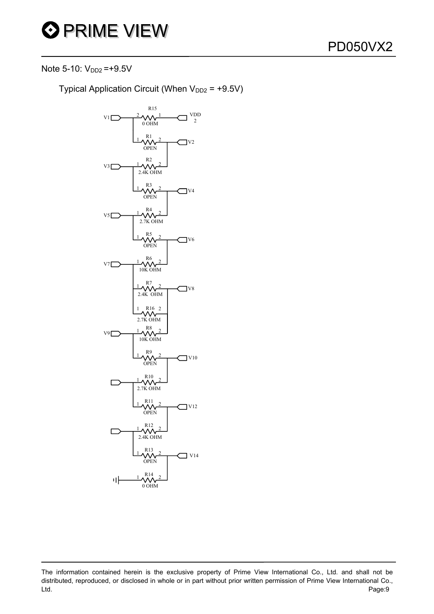

Note 5-10:  $V_{DD2} = +9.5V$ 

Typical Application Circuit (When  $V_{DD2}$  = +9.5V)



The information contained herein is the exclusive property of Prime View International Co., Ltd. and shall not be distributed, reproduced, or disclosed in whole or in part without prior written permission of Prime View International Co., Ltd. Page:9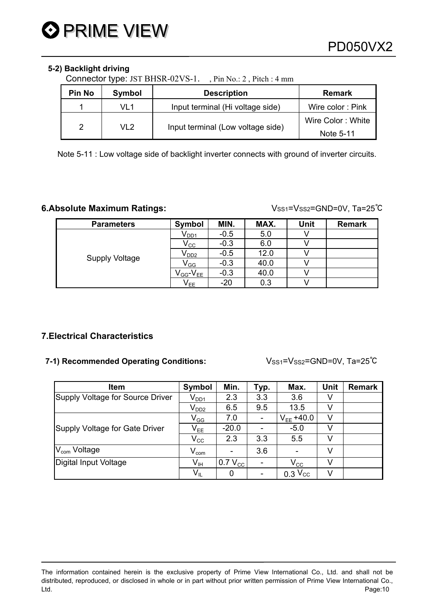#### **5-2) Backlight driving**

Connector type: JST BHSR-02VS-1. , Pin No.: 2 , Pitch : 4 mm

| Pin No | Symbol          | <b>Remark</b>                     |                   |
|--------|-----------------|-----------------------------------|-------------------|
|        | VI 1            | Input terminal (Hi voltage side)  | Wire color: Pink  |
|        | VL <sub>2</sub> |                                   | Wire Color: White |
|        |                 | Input terminal (Low voltage side) | Note 5-11         |

Note 5-11 : Low voltage side of backlight inverter connects with ground of inverter circuits.

#### **6.Absolute Maximum Ratings:**  $V_{SS1}=V_{SS2}=GND=0V, Ta=25°C$

| <b>Parameters</b>     | Symbol                      | MIN.   | MAX. | Unit | <b>Remark</b> |
|-----------------------|-----------------------------|--------|------|------|---------------|
|                       | $\mathsf{V}_{\mathsf{DD1}}$ | $-0.5$ | 5.0  |      |               |
|                       | $\mathsf{V_{CC}}$           | $-0.3$ | 6.0  |      |               |
|                       | $V_{DD2}$                   | $-0.5$ | 12.0 |      |               |
| <b>Supply Voltage</b> | $\mathsf{V}_{\mathsf{GG}}$  | $-0.3$ | 40.0 |      |               |
|                       | $V_{GG}$ - $V_{EE}$         | $-0.3$ | 40.0 |      |               |
|                       | $\mathsf{V}_{\mathsf{EE}}$  | $-20$  | 0.3  |      |               |

#### **7.Electrical Characteristics**

#### **7-1) Recommended Operating Conditions:** VSS1=VSS2=GND=0V, Ta=25℃

| <b>Item</b>                      | Symbol                      | Min.                | Typ. | Max.            | <b>Unit</b> | <b>Remark</b> |
|----------------------------------|-----------------------------|---------------------|------|-----------------|-------------|---------------|
| Supply Voltage for Source Driver | $\mathsf{V}_{\mathsf{DD1}}$ | 2.3                 | 3.3  | 3.6             |             |               |
|                                  | $\mathsf{V}_{\mathsf{DD2}}$ | 6.5                 | 9.5  | 13.5            |             |               |
|                                  | $\mathsf{V}_{\mathsf{GG}}$  | 7.0                 |      | $V_{FF} + 40.0$ | V           |               |
| Supply Voltage for Gate Driver   | $\mathsf{V}_{\mathsf{EE}}$  | $-20.0$             |      | $-5.0$          |             |               |
|                                  | $V_{\rm CC}$                | 2.3                 | 3.3  | 5.5             |             |               |
| V <sub>com</sub> Voltage         | $V_{\text{com}}$            |                     | 3.6  |                 | v           |               |
| Digital Input Voltage            | $\mathsf{V}_{\mathsf{IH}}$  | 0.7 V <sub>cc</sub> |      | $V_{\rm CC}$    |             |               |
|                                  | $V_{IL}$                    | 0                   |      | $0.3$ $V_{CC}$  | V           |               |

The information contained herein is the exclusive property of Prime View International Co., Ltd. and shall not be distributed, reproduced, or disclosed in whole or in part without prior written permission of Prime View International Co., Ltd. Page:10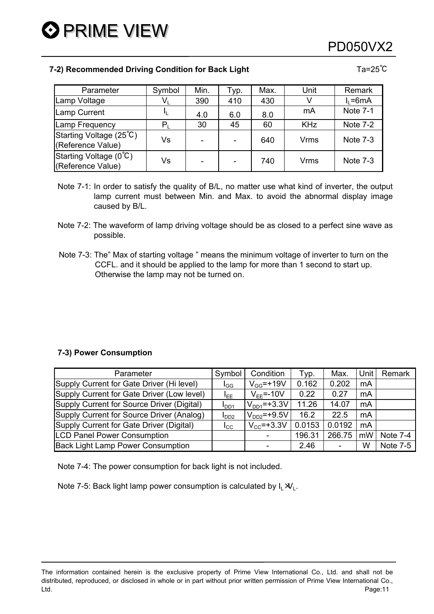### PD050VX2

#### **7-2) Recommended Driving Condition for Back Light Ta=25℃** Ta=25℃

| Parameter                                    | Symbol | Min.                     | Typ. | Max. | Unit        | Remark          |
|----------------------------------------------|--------|--------------------------|------|------|-------------|-----------------|
| Lamp Voltage                                 | Vı     | 390                      | 410  | 430  |             | $I_1 = 6mA$     |
| Lamp Current                                 |        | 4.0                      | 6.0  | 8.0  | mA          | <b>Note 7-1</b> |
| Lamp Frequency                               |        | 30                       | 45   | 60   | <b>KHz</b>  | Note 7-2        |
| Starting Voltage (25°C)<br>(Reference Value) | Vs     |                          |      | 640  | <b>Vrms</b> | Note 7-3        |
| Starting Voltage (0°C)<br>(Reference Value)  | Vs     | $\overline{\phantom{0}}$ |      | 740  | Vrms        | Note $7-3$      |

- Note 7-1: In order to satisfy the quality of B/L, no matter use what kind of inverter, the output lamp current must between Min. and Max. to avoid the abnormal display image caused by B/L.
- Note 7-2: The waveform of lamp driving voltage should be as closed to a perfect sine wave as possible.
- Note 7-3: The" Max of starting voltage " means the minimum voltage of inverter to turn on the CCFL. and it should be applied to the lamp for more than 1 second to start up. Otherwise the lamp may not be turned on.

#### **7-3) Power Consumption**

| Parameter                                  | Symbol           | Condition              | Typ.   | Max.   | Unit | Remark          |
|--------------------------------------------|------------------|------------------------|--------|--------|------|-----------------|
| Supply Current for Gate Driver (Hi level)  | $I_{GG}$         | $V_{GG}$ =+19V         | 0.162  | 0.202  | mA   |                 |
| Supply Current for Gate Driver (Low level) | l <sub>EE.</sub> | $V_{FF}$ =-10V         | 0.22   | 0.27   | mA   |                 |
| Supply Current for Source Driver (Digital) | $I_{DD1}$        | $V_{DD1}$ =+3.3V       | 11.26  | 14.07  | mA   |                 |
| Supply Current for Source Driver (Analog)  | I <sub>DD2</sub> | $V_{DD2}$ =+9.5V       | 16.2   | 22.5   | mA   |                 |
| Supply Current for Gate Driver (Digital)   | I <sub>CC</sub>  | $V_{\text{CC}}$ =+3.3V | 0.0153 | 0.0192 | mA   |                 |
| <b>LCD Panel Power Consumption</b>         |                  |                        | 196.31 | 266.75 | mW   | Note 7-4        |
| <b>Back Light Lamp Power Consumption</b>   |                  |                        | 2.46   |        | W    | <b>Note 7-5</b> |

Note 7-4: The power consumption for back light is not included.

Note 7-5: Back light lamp power consumption is calculated by  $I_L \mathcal{X}_L$ .

The information contained herein is the exclusive property of Prime View International Co., Ltd. and shall not be distributed, reproduced, or disclosed in whole or in part without prior written permission of Prime View International Co., Ltd. Page:11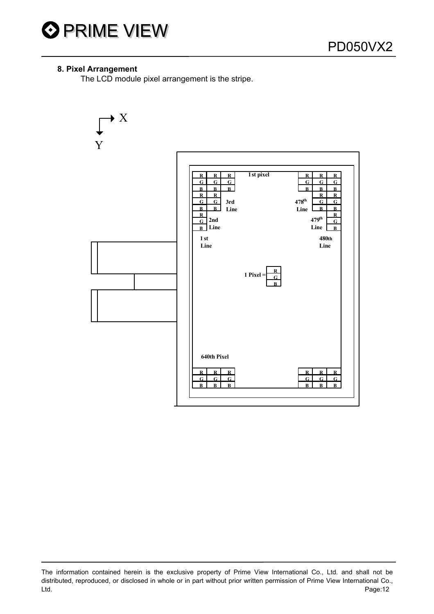

#### **8. Pixel Arrangement**

The LCD module pixel arrangement is the stripe.



The information contained herein is the exclusive property of Prime View International Co., Ltd. and shall not be distributed, reproduced, or disclosed in whole or in part without prior written permission of Prime View International Co., Ltd. Page:12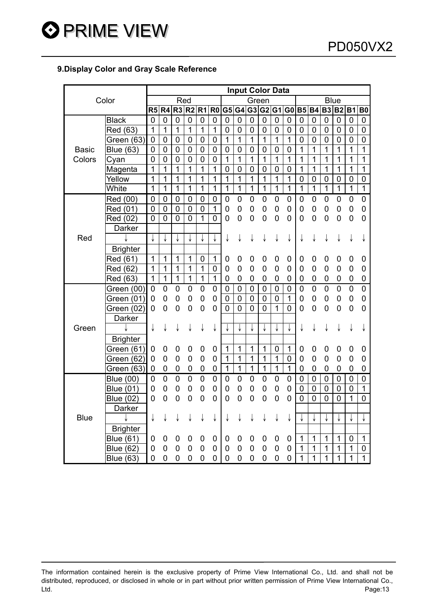#### **9.Display Color and Gray Scale Reference**

|              |                  |                |                  |                |                |                |                |                |                |                |                | <b>Input Color Data</b> |                |                |                |                |                 |                |                  |
|--------------|------------------|----------------|------------------|----------------|----------------|----------------|----------------|----------------|----------------|----------------|----------------|-------------------------|----------------|----------------|----------------|----------------|-----------------|----------------|------------------|
|              | Color            |                |                  | Red            |                |                |                |                |                | Green          |                |                         |                |                |                | <b>Blue</b>    |                 |                |                  |
|              |                  | R5             | R4               | R <sub>3</sub> | R <sub>2</sub> | R <sub>1</sub> | R <sub>0</sub> |                |                | G5 G4 G3 G2 G1 |                |                         | G <sub>0</sub> | <b>B5</b>      | <b>B4</b>      |                | <b>B3 B2 B1</b> |                | B <sub>0</sub>   |
|              | <b>Black</b>     | $\mathbf 0$    | 0                | 0              | $\overline{0}$ | 0              | 0              | 0              | $\mathbf 0$    | 0              | $\overline{0}$ | 0                       | $\mathbf 0$    | $\mathbf 0$    | 0              | 0              | $\mathbf 0$     | 0              | 0                |
|              | Red (63)         | $\mathbf{1}$   | $\mathbf{1}$     | 1              | 1              | 1              | 1              | $\mathbf 0$    | $\mathbf 0$    | $\mathbf 0$    | 0              | 0                       | 0              | 0              | 0              | 0              | 0               | 0              | $\mathbf 0$      |
|              | Green (63)       | $\mathbf 0$    | 0                | 0              | $\mathbf 0$    | 0              | 0              | 1              | $\mathbf{1}$   | 1              | $\mathbf{1}$   | 1                       | 1              | 0              | 0              | 0              | 0               | 0              | $\mathbf 0$      |
| <b>Basic</b> | <b>Blue (63)</b> | $\pmb{0}$      | $\boldsymbol{0}$ | $\mathbf 0$    | $\mathbf 0$    | $\mathbf 0$    | $\mathbf 0$    | $\mathbf 0$    | $\mathbf 0$    | $\mathbf 0$    | $\mathbf 0$    | $\mathbf 0$             | 0              | 1              | 1              | 1              | $\overline{1}$  | 1              | 1                |
| Colors       | Cyan             | $\mathbf 0$    | $\mathbf 0$      | $\mathbf 0$    | $\mathbf 0$    | 0              | 0              | $\mathbf{1}$   | $\overline{1}$ | $\overline{1}$ | $\overline{1}$ | 1                       | 1              | 1              | 1              | 1              | $\overline{1}$  | 1              | 1                |
|              | Magenta          | 1              | $\overline{1}$   | $\overline{1}$ | $\overline{1}$ | $\overline{1}$ | $\overline{1}$ | $\overline{0}$ | $\mathbf 0$    | $\mathbf 0$    | $\mathbf 0$    | $\overline{0}$          | $\mathbf 0$    | 1              | 1              | 1              | 1               | 1              | 1                |
|              | Yellow           | 1              | 1                | 1              | 1              | 1              | 1              | 1              | 1              | 1              | 1              | 1                       | 1              | $\mathbf 0$    | $\mathbf 0$    | 0              | 0               | 0              | $\mathbf 0$      |
|              | White            | $\overline{1}$ | $\mathbf{1}$     | 1              | $\mathbf{1}$   | $\mathbf{1}$   | $\mathbf{1}$   | $\overline{1}$ | $\overline{1}$ | $\mathbf{1}$   | $\mathbf{1}$   | 1                       | $\overline{1}$ | 1              | $\overline{1}$ | $\mathbf{1}$   | $\overline{1}$  | $\overline{1}$ | $\overline{1}$   |
|              | Red (00)         | $\mathbf 0$    | $\mathbf 0$      | $\mathbf 0$    | $\mathbf 0$    | 0              | $\mathbf 0$    | $\mathbf 0$    | $\mathbf 0$    | $\mathbf 0$    | $\mathbf 0$    | $\mathbf 0$             | $\mathbf 0$    | $\mathbf 0$    | $\mathbf 0$    | 0              | $\mathbf 0$     | $\mathbf 0$    | $\overline{0}$   |
|              | Red (01)         | $\mathbf 0$    | $\mathbf 0$      | $\mathbf 0$    | $\mathbf 0$    | $\mathbf 0$    | $\overline{1}$ | 0              | $\mathbf 0$    | $\mathbf 0$    | 0              | $\mathbf 0$             | $\mathbf 0$    | 0              | $\overline{0}$ | $\mathbf 0$    | 0               | $\mathsf 0$    | $\mathbf 0$      |
|              | Red (02)         | $\overline{0}$ | 0                | $\overline{0}$ | $\overline{0}$ | $\overline{1}$ | $\overline{0}$ | 0              | 0              | $\overline{0}$ | $\overline{0}$ | 0                       | $\overline{0}$ | 0              | 0              | $\mathbf 0$    | $\overline{0}$  | 0              | 0                |
|              | Darker           |                |                  |                |                |                |                |                |                |                |                |                         |                |                |                |                |                 |                |                  |
| Red          |                  | J              |                  |                |                |                | ↓              | ↓              | ↓              | ↓              | ↓              | ↓                       | ↓              | ↓              | ↓              | ↓              | ↓               | ↓              |                  |
|              | <b>Brighter</b>  |                |                  |                |                |                |                |                |                |                |                |                         |                |                |                |                |                 |                |                  |
|              | Red (61)         | $\mathbf{1}$   | $\mathbf{1}$     | 1              | 1              | $\overline{0}$ | $\mathbf{1}$   | 0              | $\mathbf 0$    | 0              | 0              | 0                       | 0              | 0              | 0              | 0              | 0               | 0              | 0                |
|              | Red (62)         | $\mathbf{1}$   | $\mathbf{1}$     | 1              | $\mathbf{1}$   | $\mathbf 1$    | $\mathbf 0$    | 0              | $\overline{0}$ | $\mathbf 0$    | 0              | 0                       | 0              | 0              | 0              | 0              | 0               | 0              | 0                |
|              | Red (63)         | $\overline{1}$ | $\overline{1}$   | $\overline{1}$ | $\overline{1}$ | $\overline{1}$ | $\overline{1}$ | 0              | $\mathbf 0$    | $\mathbf 0$    | 0              | 0                       | 0              | 0              | 0              | 0              | 0               | 0              | $\mathbf 0$      |
|              | Green (00)       | $\overline{0}$ | 0                | $\mathbf 0$    | $\pmb{0}$      | $\mathbf 0$    | $\mathbf 0$    | $\mathbf 0$    | $\mathbf 0$    | $\mathbf 0$    | $\mathbf 0$    | $\mathbf 0$             | $\pmb{0}$      | $\overline{0}$ | $\overline{0}$ | $\mathbf 0$    | $\overline{0}$  | $\mathbf 0$    | $\overline{0}$   |
|              | Green (01)       | 0              | 0                | 0              | 0              | 0              | 0              | $\overline{0}$ | $\overline{0}$ | $\overline{0}$ | $\overline{0}$ | $\overline{0}$          | $\overline{1}$ | 0              | 0              | 0              | 0               | 0              | $\mathbf 0$      |
|              | Green (02)       | 0              | 0                | 0              | 0              | 0              | 0              | 0              | $\overline{0}$ | $\overline{0}$ | $\overline{0}$ | 1                       | 0              | 0              | 0              | $\mathbf 0$    | 0               | 0              | 0                |
|              | Darker           |                |                  |                |                |                |                |                |                |                |                |                         |                |                |                |                |                 |                |                  |
| Green        |                  | ↓              | ↓                | ↓              | ↓              | ↓              | ↓              |                | ↓              | ↓              | ↓              | ↓                       |                | ↓              | ↓              | ↓              | ↓               | ↓              |                  |
|              | <b>Brighter</b>  |                |                  |                |                |                |                |                |                |                |                |                         |                |                |                |                |                 |                |                  |
|              | Green (61)       | 0              | 0                | 0              | 0              | 0              | 0              | 1              | 1              | 1              | 1              | 0                       | 1              | 0              | 0              | 0              | 0               | 0              | 0                |
|              | Green (62)       | 0              | 0                | 0              | $\mathbf 0$    | 0              | 0              | 1              | 1              | 1              | 1              | 1                       | 0              | 0              | 0              | 0              | 0               | 0              | 0                |
|              | Green (63)       | 0              | $\mathbf 0$      | 0              | 0              | 0              | 0              | $\mathbf{1}$   | $\mathbf 1$    | $\mathbf{1}$   | $\mathbf{1}$   | $\mathbf 1$             | $\mathbf{1}$   | 0              | $\mathbf 0$    | 0              | 0               | 0              | 0                |
|              | <b>Blue (00)</b> | 0              | 0                | 0              | $\mathbf 0$    | $\mathbf 0$    | 0              | 0              | 0              | 0              | 0              | 0                       | 0              | 0              | 0              | $\mathbf 0$    | $\overline{0}$  | 0              | $\boldsymbol{0}$ |
|              | <b>Blue (01)</b> | 0              | 0                | 0              | 0              | 0              | 0              | 0              | 0              | $\mathbf 0$    | 0              | 0                       | 0              | 0              | $\mathbf 0$    | 0              | 0               | 0              | $\mathbf{1}$     |
|              | <b>Blue (02)</b> | 0              | 0                | 0              | $\mathbf 0$    | 0              | $\overline{0}$ | 0              | $\overline{0}$ | $\overline{0}$ | 0              | 0                       | 0              | $\overline{0}$ | $\overline{0}$ | $\overline{0}$ | 0               | 1              | $\mathbf 0$      |
|              | Darker           |                |                  |                |                |                |                |                |                |                |                |                         |                |                |                |                |                 |                |                  |
| <b>Blue</b>  |                  | ↓              | ↓                |                | ↓              | ↓              | ↓              | ↓              | ↓              | ↓              | ↓              | ↓                       | ↓              |                |                |                |                 |                |                  |
|              | <b>Brighter</b>  |                |                  |                |                |                |                |                |                |                |                |                         |                |                |                |                |                 |                |                  |
|              | <b>Blue (61)</b> | 0              | 0                | 0              | 0              | 0              | 0              | 0              | 0              | 0              | 0              | 0                       | 0              | 1              | 1              | 1              | 1               | 0              | 1                |
|              | <b>Blue (62)</b> | 0              | 0                | 0              | 0              | 0              | 0              | $\mathbf 0$    | 0              | $\mathbf 0$    | 0              | 0                       | 0              | 1              | 1              | $\mathbf{1}$   | 1               | 1              | $\mathbf 0$      |
|              | <b>Blue (63)</b> | 0              | 0                | 0              | 0              | 0              | $\overline{0}$ | 0              | $\overline{0}$ | 0              | 0              | 0                       | 0              | 1              | 1              | 1              | 1               | 1              | 1                |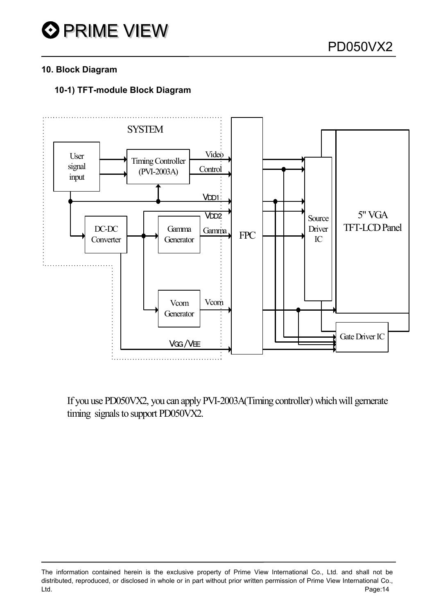

#### **10. Block Diagram**

#### **10-1) TFT-module Block Diagram**



If you use PD050VX2, you can apply PVI-2003A(Timing controller) which will gernerate timing signals to support PD050VX2.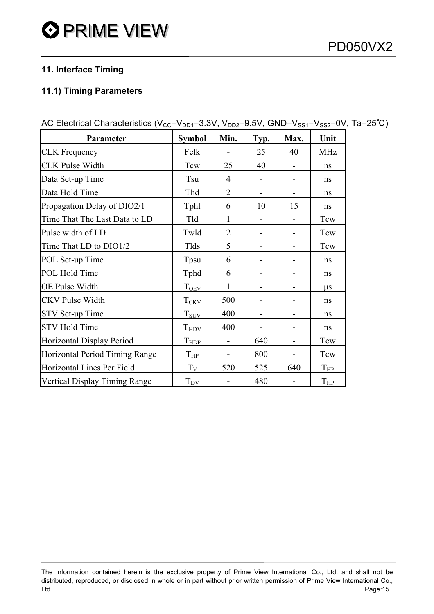### **11. Interface Timing**

#### **11.1) Timing Parameters**

| Parameter                            | <b>Symbol</b>         | Min.           | Typ. | Max. | Unit       |
|--------------------------------------|-----------------------|----------------|------|------|------------|
| <b>CLK</b> Frequency                 | Fclk                  |                | 25   | 40   | <b>MHz</b> |
| <b>CLK Pulse Width</b>               | Tcw                   | 25             | 40   |      | ns         |
| Data Set-up Time                     | Tsu                   | 4              |      |      | ns         |
| Data Hold Time                       | Thd                   | $\overline{2}$ |      |      | ns         |
| Propagation Delay of DIO2/1          | Tphl                  | 6              | 10   | 15   | ns         |
| Time That The Last Data to LD        | Tld                   | 1              |      |      | Tcw        |
| Pulse width of LD                    | Twld                  | $\overline{2}$ |      |      | Tcw        |
| Time That LD to DIO1/2               | Tlds                  | 5              |      |      | Tcw        |
| POL Set-up Time                      | Tpsu                  | 6              |      |      | ns         |
| POL Hold Time                        | Tphd                  | 6              |      |      | ns         |
| <b>OE Pulse Width</b>                | $T_{\underline{OEV}}$ | 1              |      |      | $\mu$ s    |
| <b>CKV Pulse Width</b>               | $T_{CKV}$             | 500            |      |      | ns         |
| <b>STV Set-up Time</b>               | $T_{\text{SUV}}$      | 400            |      |      | ns         |
| <b>STV Hold Time</b>                 | $T_{HDV}$             | 400            |      |      | ns         |
| Horizontal Display Period            | $T_{\text{HDP}}$      |                | 640  |      | Tcw        |
| Horizontal Period Timing Range       | $T_{HP}$              | -              | 800  |      | Tcw        |
| Horizontal Lines Per Field           | $T_V$                 | 520            | 525  | 640  | $T_{HP}$   |
| <b>Vertical Display Timing Range</b> | $T_{\text{DV}}$       |                | 480  |      | $T_{HP}$   |

AC Electrical Characteristics (V<sub>CC</sub>=V<sub>DD1</sub>=3.3V, V<sub>DD2</sub>=9.5V, GND=V<sub>SS1</sub>=V<sub>SS2</sub>=0V, Ta=25<sup>°</sup>C)

The information contained herein is the exclusive property of Prime View International Co., Ltd. and shall not be distributed, reproduced, or disclosed in whole or in part without prior written permission of Prime View International Co., Ltd. Page:15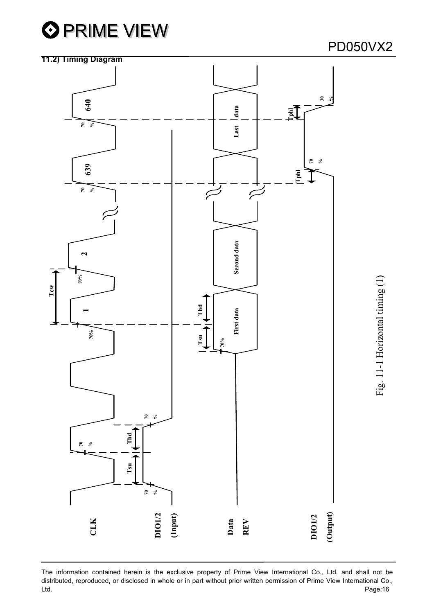



The information contained herein is the exclusive property of Prime View International Co., Ltd. and shall not be distributed, reproduced, or disclosed in whole or in part without prior written permission of Prime View International Co., Ltd. Page:16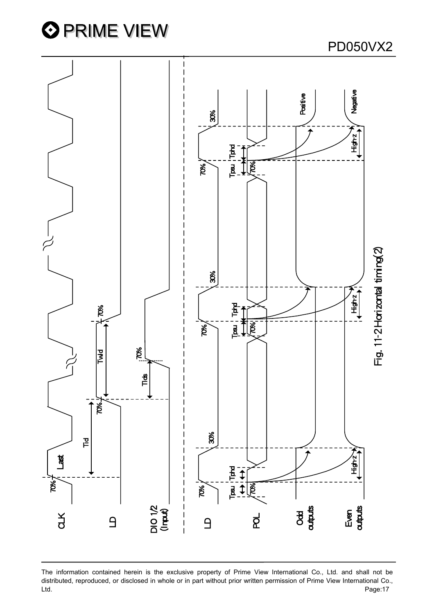



The information contained herein is the exclusive property of Prime View International Co., Ltd. and shall not be distributed, reproduced, or disclosed in whole or in part without prior written permission of Prime View International Co.,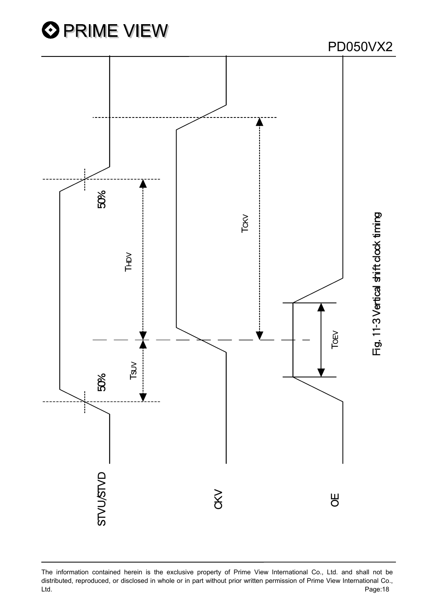

The information contained herein is the exclusive property of Prime View International Co., Ltd. and shall not be distributed, reproduced, or disclosed in whole or in part without prior written permission of Prime View International Co.,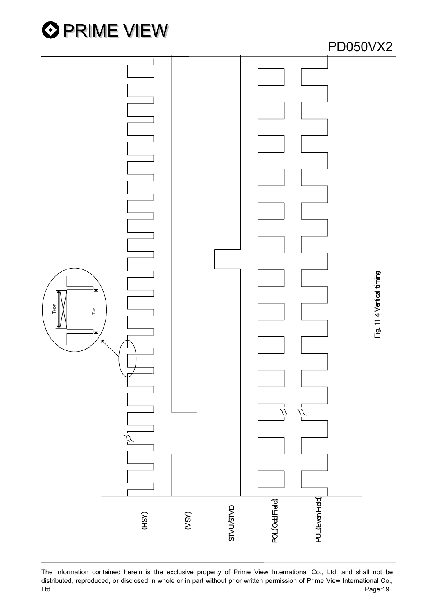



The information contained herein is the exclusive property of Prime View International Co., Ltd. and shall not be distributed, reproduced, or disclosed in whole or in part without prior written permission of Prime View International Co., Ltd.<br>The information contained herein is the exclusive property of Prime View International Co., Ltd. and shall not be<br>distributed, reproduced, or disclosed in whole or in part without prior written permission of Prime Vie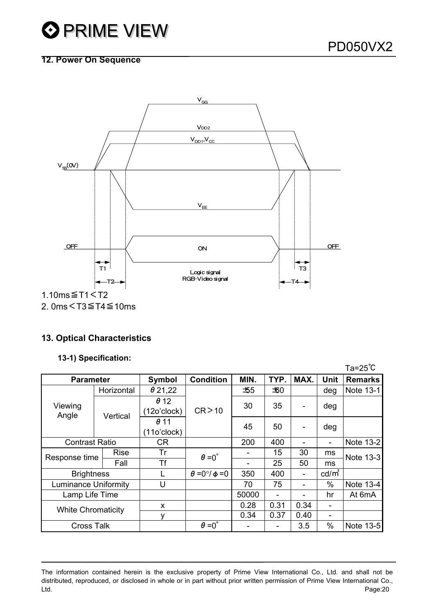#### **12. Power On Sequence**



2. 0ms<T3≦T4≦10ms

#### **13. Optical Characteristics**

#### **13-1) Specification:**

|                             |             |                            |                               |       |      |                              |          | $Ta = 25^{\circ}C$ |
|-----------------------------|-------------|----------------------------|-------------------------------|-------|------|------------------------------|----------|--------------------|
| <b>Parameter</b>            |             | Symbol                     | <b>Condition</b>              | MIN.  | TYP. | MAX.                         | Unit     | <b>Remarks</b>     |
| Viewing<br>Angle            | Horizontal  | $\theta$ 21,22             |                               | — 155 | ±60  |                              | deg      | Note 13-1          |
|                             | Vertical    | $\theta$ 12<br>(12o'clock) | CR > 10                       | 30    | 35   | $\qquad \qquad \blacksquare$ | deg      |                    |
|                             |             | $\theta$ 11<br>(11o'clock) |                               | 45    | 50   | $\blacksquare$               | deg      |                    |
| <b>Contrast Ratio</b>       |             | <b>CR</b>                  |                               | 200   | 400  |                              |          | Note 13-2          |
| Response time               | <b>Rise</b> | Tr                         | $\theta = 0^{\circ}$          |       | 15   | 30                           | ms       | Note 13-3          |
|                             | Fall        | Τf                         |                               |       |      | 25                           | 50       | ms                 |
| <b>Brightness</b>           |             |                            | $\theta = 0^{\circ}/\phi = 0$ | 350   | 400  | $\overline{\phantom{a}}$     | $cd/m^2$ |                    |
| <b>Luminance Uniformity</b> |             | U                          |                               | 70    | 75   | -                            | $\%$     | Note 13-4          |
| Lamp Life Time              |             |                            |                               | 50000 |      | ۰                            | hr       | At 6mA             |
| <b>White Chromaticity</b>   |             | X                          |                               | 0.28  | 0.31 | 0.34                         |          |                    |
|                             |             | ٧                          |                               | 0.34  | 0.37 | 0.40                         |          |                    |
| <b>Cross Talk</b>           |             |                            | $\theta = 0^{\circ}$          |       |      | 3.5                          | $\%$     | Note 13-5          |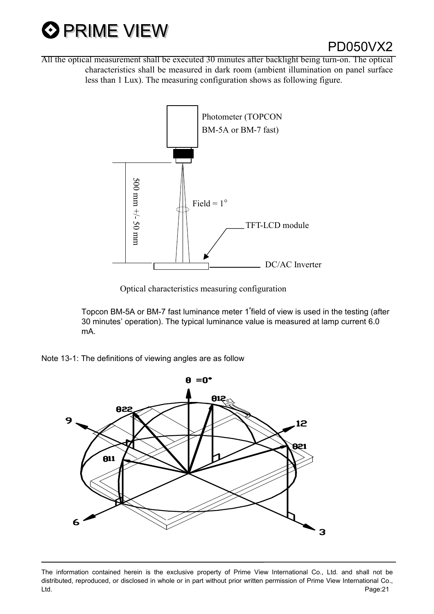

All the optical measurement shall be executed 30 minutes after backlight being turn-on. The optical characteristics shall be measured in dark room (ambient illumination on panel surface less than 1 Lux). The measuring configuration shows as following figure.



Optical characteristics measuring configuration

Topcon BM-5A or BM-7 fast luminance meter 1∘field of view is used in the testing (after 30 minutes' operation). The typical luminance value is measured at lamp current 6.0 mA.

Note 13-1: The definitions of viewing angles are as follow

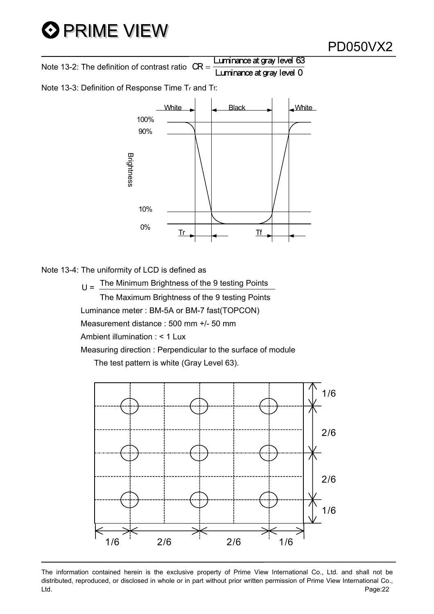Note 13-2: The definition of contrast ratio  $CR =$  Luminance at gray level 63 Luminance at gray level <sup>0</sup>

Note 13-3: Definition of Response Time Tr and Tf:



Note 13-4: The uniformity of LCD is defined as

 $U =$  The Minimum Brightness of the 9 testing Points The Maximum Brightness of the 9 testing Points Luminance meter : BM-5A or BM-7 fast(TOPCON) Measurement distance : 500 mm +/- 50 mm Ambient illumination : < 1 Lux Measuring direction : Perpendicular to the surface of module The test pattern is white (Gray Level 63).



The information contained herein is the exclusive property of Prime View International Co., Ltd. and shall not be distributed, reproduced, or disclosed in whole or in part without prior written permission of Prime View International Co., Ltd. Page:22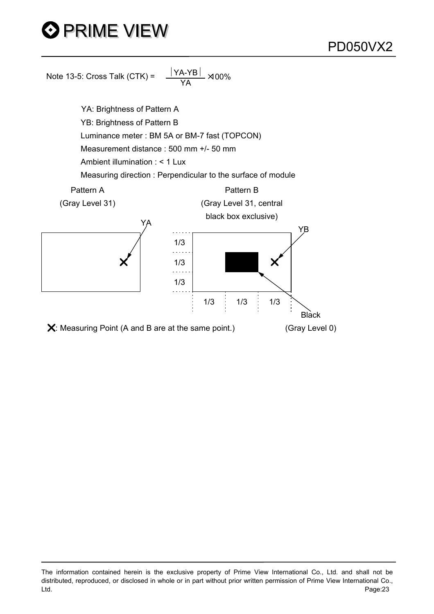

The information contained herein is the exclusive property of Prime View International Co., Ltd. and shall not be distributed, reproduced, or disclosed in whole or in part without prior written permission of Prime View International Co., Ltd. Page:23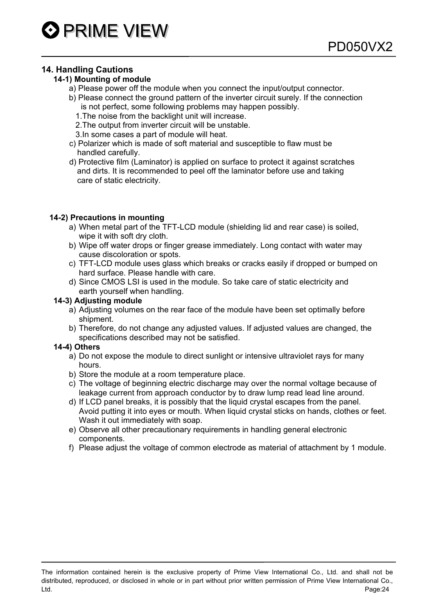#### **14. Handling Cautions**

#### **14-1) Mounting of module**

- a) Please power off the module when you connect the input/output connector.
- b) Please connect the ground pattern of the inverter circuit surely. If the connection is not perfect, some following problems may happen possibly.
	- 1.The noise from the backlight unit will increase.
	- 2.The output from inverter circuit will be unstable.
	- 3.In some cases a part of module will heat.
- c) Polarizer which is made of soft material and susceptible to flaw must be handled carefully.
- d) Protective film (Laminator) is applied on surface to protect it against scratches and dirts. It is recommended to peel off the laminator before use and taking care of static electricity.

#### **14-2) Precautions in mounting**

- a) When metal part of the TFT-LCD module (shielding lid and rear case) is soiled, wipe it with soft dry cloth.
- b) Wipe off water drops or finger grease immediately. Long contact with water may cause discoloration or spots.
- c) TFT-LCD module uses glass which breaks or cracks easily if dropped or bumped on hard surface. Please handle with care.
- d) Since CMOS LSI is used in the module. So take care of static electricity and earth yourself when handling.

#### **14-3) Adjusting module**

- a) Adjusting volumes on the rear face of the module have been set optimally before shipment.
- b) Therefore, do not change any adjusted values. If adjusted values are changed, the specifications described may not be satisfied.

#### **14-4) Others**

- a) Do not expose the module to direct sunlight or intensive ultraviolet rays for many hours.
- b) Store the module at a room temperature place.
- c) The voltage of beginning electric discharge may over the normal voltage because of leakage current from approach conductor by to draw lump read lead line around.
- d) If LCD panel breaks, it is possibly that the liquid crystal escapes from the panel. Avoid putting it into eyes or mouth. When liquid crystal sticks on hands, clothes or feet. Wash it out immediately with soap.
- e) Observe all other precautionary requirements in handling general electronic components.
- f) Please adjust the voltage of common electrode as material of attachment by 1 module.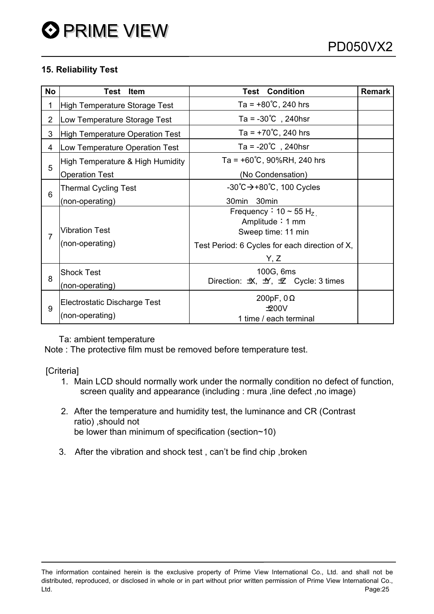#### **15. Reliability Test**

| <b>No</b>      | Test<br><b>Item</b>                             | <b>Test Condition</b>                                                           | <b>Remark</b> |  |  |
|----------------|-------------------------------------------------|---------------------------------------------------------------------------------|---------------|--|--|
| 1              | High Temperature Storage Test                   | Ta = $+80^{\circ}$ C, 240 hrs                                                   |               |  |  |
| $\overline{2}$ | Low Temperature Storage Test                    | Ta = $-30^{\circ}$ C, 240hsr                                                    |               |  |  |
| 3              | High Temperature Operation Test                 | Ta = $+70^{\circ}$ C, 240 hrs                                                   |               |  |  |
| 4              | Low Temperature Operation Test                  | Ta = $-20^{\circ}$ C, 240hsr                                                    |               |  |  |
|                | High Temperature & High Humidity                | Ta = $+60^{\circ}$ C, 90%RH, 240 hrs                                            |               |  |  |
| 5              | <b>Operation Test</b>                           | (No Condensation)                                                               |               |  |  |
|                | <b>Thermal Cycling Test</b>                     | $-30^{\circ}C \rightarrow +80^{\circ}C$ , 100 Cycles                            |               |  |  |
| 6              | (non-operating)                                 | 30 <sub>min</sub><br>30 <sub>min</sub>                                          |               |  |  |
| 7              | <b>Vibration Test</b>                           | Frequency: $10 \sim 55$ H <sub>z</sub><br>Amplitude: 1 mm<br>Sweep time: 11 min |               |  |  |
|                | (non-operating)                                 | Test Period: 6 Cycles for each direction of X,<br>Y, Z                          |               |  |  |
| 8              | <b>Shock Test</b><br>(non-operating)            | 100G, 6ms<br>Direction: $\pm X$ , $\pm Y$ , $\pm Z$ Cycle: 3 times              |               |  |  |
| 9              | Electrostatic Discharge Test<br>(non-operating) | 200pF, $0\Omega$<br>±00V<br>1 time / each terminal                              |               |  |  |

Ta: ambient temperature

Note : The protective film must be removed before temperature test.

[Criteria]

- 1. Main LCD should normally work under the normally condition no defect of function, screen quality and appearance (including : mura ,line defect ,no image)
- 2. After the temperature and humidity test, the luminance and CR (Contrast ratio) ,should not be lower than minimum of specification (section~10)
- 3. After the vibration and shock test , can't be find chip ,broken

The information contained herein is the exclusive property of Prime View International Co., Ltd. and shall not be distributed, reproduced, or disclosed in whole or in part without prior written permission of Prime View International Co., Ltd. Page:25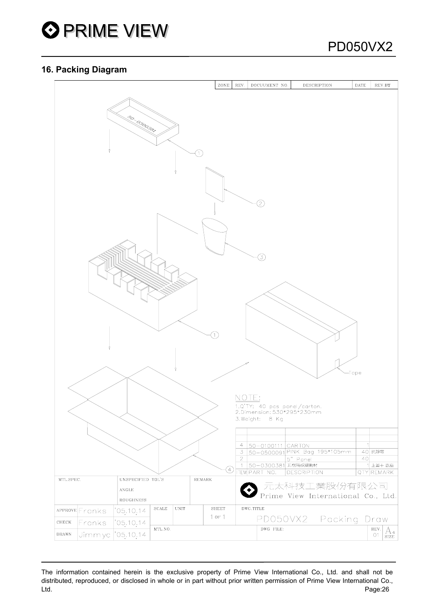

#### **16. Packing Diagram**



The information contained herein is the exclusive property of Prime View International Co., Ltd. and shall not be distributed, reproduced, or disclosed in whole or in part without prior written permission of Prime View International Co., Ltd. Page:26